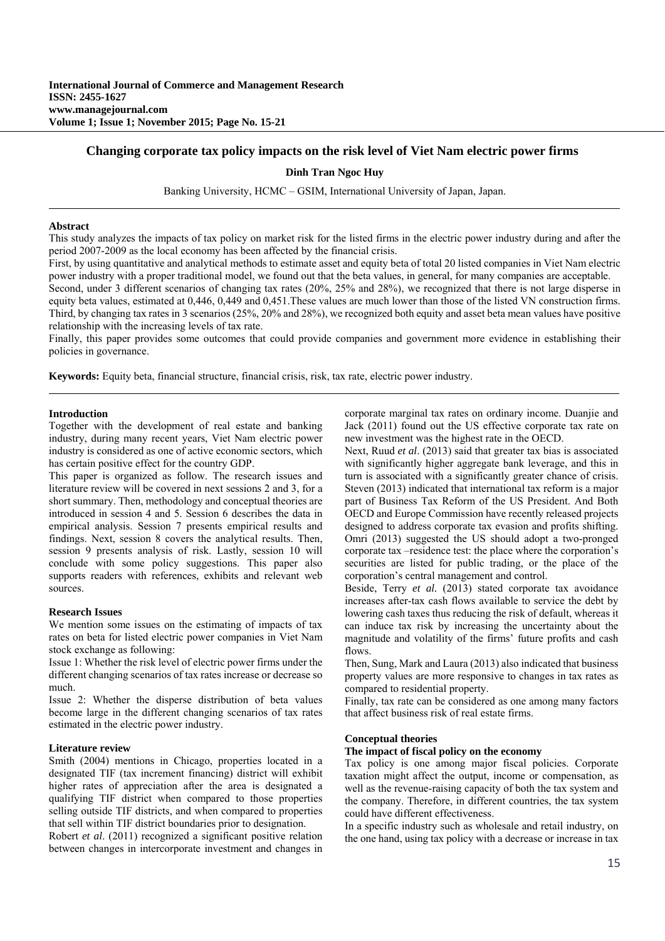# **Changing corporate tax policy impacts on the risk level of Viet Nam electric power firms**

## **Dinh Tran Ngoc Huy**

Banking University, HCMC – GSIM, International University of Japan, Japan.

### **Abstract**

This study analyzes the impacts of tax policy on market risk for the listed firms in the electric power industry during and after the period 2007-2009 as the local economy has been affected by the financial crisis.

First, by using quantitative and analytical methods to estimate asset and equity beta of total 20 listed companies in Viet Nam electric power industry with a proper traditional model, we found out that the beta values, in general, for many companies are acceptable. Second, under 3 different scenarios of changing tax rates (20%, 25% and 28%), we recognized that there is not large disperse in equity beta values, estimated at 0,446, 0,449 and 0,451.These values are much lower than those of the listed VN construction firms. Third, by changing tax rates in 3 scenarios (25%, 20% and 28%), we recognized both equity and asset beta mean values have positive relationship with the increasing levels of tax rate.

Finally, this paper provides some outcomes that could provide companies and government more evidence in establishing their policies in governance.

**Keywords:** Equity beta, financial structure, financial crisis, risk, tax rate, electric power industry.

## **Introduction**

Together with the development of real estate and banking industry, during many recent years, Viet Nam electric power industry is considered as one of active economic sectors, which has certain positive effect for the country GDP.

This paper is organized as follow. The research issues and literature review will be covered in next sessions 2 and 3, for a short summary. Then, methodology and conceptual theories are introduced in session 4 and 5. Session 6 describes the data in empirical analysis. Session 7 presents empirical results and findings. Next, session 8 covers the analytical results. Then, session 9 presents analysis of risk. Lastly, session 10 will conclude with some policy suggestions. This paper also supports readers with references, exhibits and relevant web sources.

## **Research Issues**

We mention some issues on the estimating of impacts of tax rates on beta for listed electric power companies in Viet Nam stock exchange as following:

Issue 1: Whether the risk level of electric power firms under the different changing scenarios of tax rates increase or decrease so much.

Issue 2: Whether the disperse distribution of beta values become large in the different changing scenarios of tax rates estimated in the electric power industry.

#### **Literature review**

Smith (2004) mentions in Chicago, properties located in a designated TIF (tax increment financing) district will exhibit higher rates of appreciation after the area is designated a qualifying TIF district when compared to those properties selling outside TIF districts, and when compared to properties that sell within TIF district boundaries prior to designation.

Robert *et al*. (2011) recognized a significant positive relation between changes in intercorporate investment and changes in corporate marginal tax rates on ordinary income. Duanjie and Jack (2011) found out the US effective corporate tax rate on new investment was the highest rate in the OECD.

Next, Ruud *et al*. (2013) said that greater tax bias is associated with significantly higher aggregate bank leverage, and this in turn is associated with a significantly greater chance of crisis. Steven (2013) indicated that international tax reform is a major part of Business Tax Reform of the US President. And Both OECD and Europe Commission have recently released projects designed to address corporate tax evasion and profits shifting. Omri (2013) suggested the US should adopt a two-pronged corporate tax –residence test: the place where the corporation's securities are listed for public trading, or the place of the corporation's central management and control.

Beside, Terry *et al.* (2013) stated corporate tax avoidance increases after-tax cash flows available to service the debt by lowering cash taxes thus reducing the risk of default, whereas it can induce tax risk by increasing the uncertainty about the magnitude and volatility of the firms' future profits and cash flows.

Then, Sung, Mark and Laura (2013) also indicated that business property values are more responsive to changes in tax rates as compared to residential property.

Finally, tax rate can be considered as one among many factors that affect business risk of real estate firms.

#### **Conceptual theories**

## **The impact of fiscal policy on the economy**

Tax policy is one among major fiscal policies. Corporate taxation might affect the output, income or compensation, as well as the revenue-raising capacity of both the tax system and the company. Therefore, in different countries, the tax system could have different effectiveness.

In a specific industry such as wholesale and retail industry, on the one hand, using tax policy with a decrease or increase in tax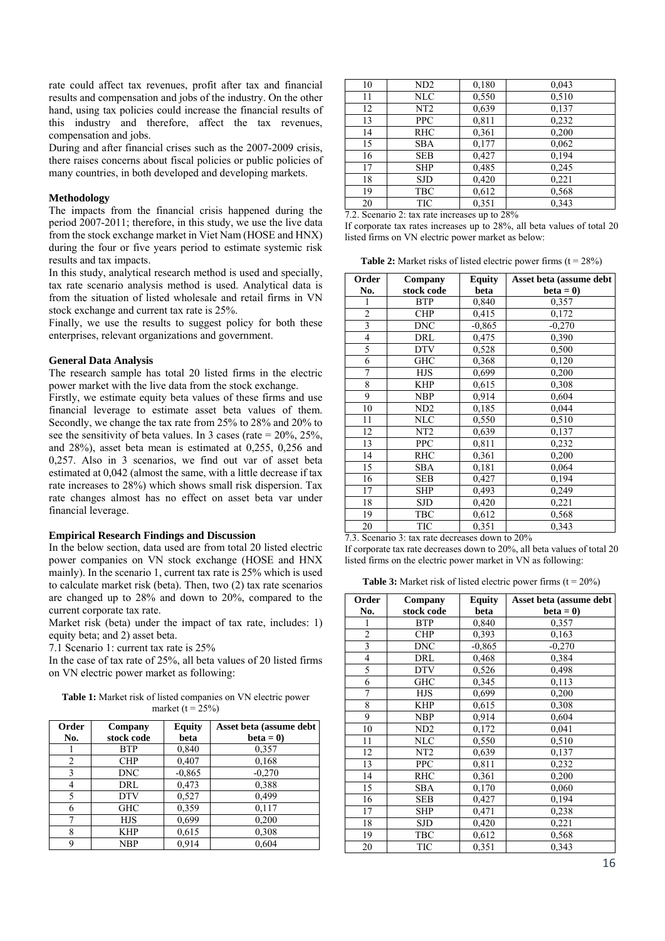rate could affect tax revenues, profit after tax and financial results and compensation and jobs of the industry. On the other hand, using tax policies could increase the financial results of this industry and therefore, affect the tax revenues, compensation and jobs.

During and after financial crises such as the 2007-2009 crisis, there raises concerns about fiscal policies or public policies of many countries, in both developed and developing markets.

### **Methodology**

The impacts from the financial crisis happened during the period 2007-2011; therefore, in this study, we use the live data from the stock exchange market in Viet Nam (HOSE and HNX) during the four or five years period to estimate systemic risk results and tax impacts.

In this study, analytical research method is used and specially, tax rate scenario analysis method is used. Analytical data is from the situation of listed wholesale and retail firms in VN stock exchange and current tax rate is 25%.

Finally, we use the results to suggest policy for both these enterprises, relevant organizations and government.

## **General Data Analysis**

The research sample has total 20 listed firms in the electric power market with the live data from the stock exchange.

Firstly, we estimate equity beta values of these firms and use financial leverage to estimate asset beta values of them. Secondly, we change the tax rate from 25% to 28% and 20% to see the sensitivity of beta values. In 3 cases (rate  $= 20\%$ , 25%, and 28%), asset beta mean is estimated at 0,255, 0,256 and 0,257. Also in 3 scenarios, we find out var of asset beta estimated at 0,042 (almost the same, with a little decrease if tax rate increases to 28%) which shows small risk dispersion. Tax rate changes almost has no effect on asset beta var under financial leverage.

### **Empirical Research Findings and Discussion**

In the below section, data used are from total 20 listed electric power companies on VN stock exchange (HOSE and HNX mainly). In the scenario 1, current tax rate is 25% which is used to calculate market risk (beta). Then, two (2) tax rate scenarios are changed up to 28% and down to 20%, compared to the current corporate tax rate.

Market risk (beta) under the impact of tax rate, includes: 1) equity beta; and 2) asset beta.

7.1 Scenario 1: current tax rate is 25%

In the case of tax rate of 25%, all beta values of 20 listed firms on VN electric power market as following:

**Table 1:** Market risk of listed companies on VN electric power market ( $t = 25\%$ )

| Order<br>No. | Company<br>stock code | <b>Equity</b><br>beta | Asset beta (assume debt<br>$beta = 0$ |
|--------------|-----------------------|-----------------------|---------------------------------------|
|              | <b>BTP</b>            | 0,840                 | 0,357                                 |
| 2            | <b>CHP</b>            | 0,407                 | 0,168                                 |
| 3            | <b>DNC</b>            | $-0.865$              | $-0.270$                              |
| 4            | DRL                   | 0,473                 | 0,388                                 |
| 5            | <b>DTV</b>            | 0,527                 | 0,499                                 |
| 6            | <b>GHC</b>            | 0,359                 | 0,117                                 |
| 7            | <b>HJS</b>            | 0,699                 | 0,200                                 |
| 8            | <b>KHP</b>            | 0,615                 | 0,308                                 |
| 9            | <b>NBP</b>            | 0.914                 | 0.604                                 |

| 10 | ND <sub>2</sub> | 0,180 | 0,043 |
|----|-----------------|-------|-------|
| 11 | <b>NLC</b>      | 0,550 | 0.510 |
| 12 | NT <sub>2</sub> | 0,639 | 0,137 |
| 13 | <b>PPC</b>      | 0,811 | 0,232 |
| 14 | <b>RHC</b>      | 0,361 | 0,200 |
| 15 | <b>SBA</b>      | 0,177 | 0,062 |
| 16 | <b>SEB</b>      | 0,427 | 0,194 |
| 17 | <b>SHP</b>      | 0,485 | 0,245 |
| 18 | <b>SJD</b>      | 0,420 | 0,221 |
| 19 | <b>TBC</b>      | 0,612 | 0,568 |
| 20 | TIC             | 0.351 | 0.343 |

7.2. Scenario 2: tax rate increases up to 28%

If corporate tax rates increases up to 28%, all beta values of total 20 listed firms on VN electric power market as below:

**Table 2:** Market risks of listed electric power firms  $(t = 28\%)$ 

| Order          | Company         | <b>Equity</b> | Asset beta (assume debt |
|----------------|-----------------|---------------|-------------------------|
| No.            | stock code      | beta          | $beta = 0$              |
| 1              | <b>BTP</b>      | 0,840         | 0,357                   |
| $\overline{c}$ | <b>CHP</b>      | 0,415         | 0,172                   |
| $\overline{3}$ | <b>DNC</b>      | $-0.865$      | $-0,270$                |
| $\overline{4}$ | DRL             | 0,475         | 0,390                   |
| 5              | <b>DTV</b>      | 0,528         | 0,500                   |
| 6              | <b>GHC</b>      | 0,368         | 0,120                   |
| $\overline{7}$ | <b>HJS</b>      | 0,699         | 0,200                   |
| 8              | <b>KHP</b>      | 0,615         | 0,308                   |
| 9              | <b>NBP</b>      | 0,914         | 0,604                   |
| 10             | ND <sub>2</sub> | 0,185         | 0,044                   |
| 11             | <b>NLC</b>      | 0,550         | 0,510                   |
| 12             | NT <sub>2</sub> | 0,639         | 0,137                   |
| 13             | <b>PPC</b>      | 0,811         | 0,232                   |
| 14             | RHC             | 0,361         | 0,200                   |
| 15             | SBA             | 0,181         | 0,064                   |
| 16             | <b>SEB</b>      | 0,427         | 0,194                   |
| 17             | <b>SHP</b>      | 0,493         | 0,249                   |
| 18             | <b>SJD</b>      | 0,420         | 0,221                   |
| 19             | TBC             | 0,612         | 0,568                   |
| 20             | TIC             | 0,351         | 0.343                   |

7.3. Scenario 3: tax rate decreases down to 20%

If corporate tax rate decreases down to 20%, all beta values of total 20 listed firms on the electric power market in VN as following:

**Table 3:** Market risk of listed electric power firms  $(t = 20\%)$ 

| Order                   | Company         | <b>Equity</b> | Asset beta (assume debt |
|-------------------------|-----------------|---------------|-------------------------|
| No.                     | stock code      | beta          | $beta = 0$              |
| 1                       | <b>BTP</b>      | 0,840         | 0,357                   |
| $\overline{c}$          | <b>CHP</b>      | 0,393         | 0,163                   |
| $\overline{\mathbf{3}}$ | <b>DNC</b>      | $-0,865$      | $-0,270$                |
| $\overline{\mathbf{4}}$ | DRL             | 0,468         | 0,384                   |
| 5                       | <b>DTV</b>      | 0,526         | 0,498                   |
| 6                       | GHC             | 0,345         | 0,113                   |
| 7                       | <b>HJS</b>      | 0,699         | 0,200                   |
| 8                       | <b>KHP</b>      | 0,615         | 0,308                   |
| 9                       | <b>NBP</b>      | 0.914         | 0,604                   |
| 10                      | ND <sub>2</sub> | 0,172         | 0,041                   |
| 11                      | NLC             | 0,550         | 0,510                   |
| 12                      | NT <sub>2</sub> | 0,639         | 0,137                   |
| 13                      | <b>PPC</b>      | 0,811         | 0,232                   |
| 14                      | <b>RHC</b>      | 0,361         | 0,200                   |
| 15                      | <b>SBA</b>      | 0,170         | 0,060                   |
| 16                      | <b>SEB</b>      | 0,427         | 0,194                   |
| 17                      | <b>SHP</b>      | 0,471         | 0,238                   |
| 18                      | <b>SJD</b>      | 0,420         | 0,221                   |
| 19                      | TBC             | 0,612         | 0,568                   |
| 20                      | TIC             | 0,351         | 0.343                   |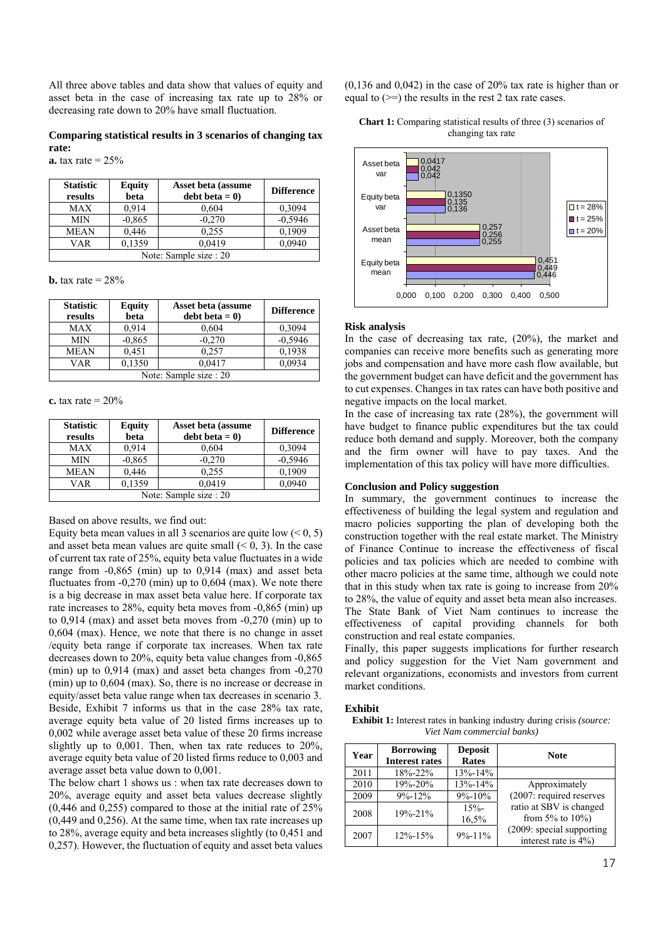All three above tables and data show that values of equity and asset beta in the case of increasing tax rate up to 28% or decreasing rate down to 20% have small fluctuation.

# **Comparing statistical results in 3 scenarios of changing tax rate:**

**a.** tax rate =  $25\%$ 

| <b>Statistic</b><br>results | <b>Equity</b><br>beta  | Asset beta (assume<br>$debt beta = 0$ | <b>Difference</b> |  |  |
|-----------------------------|------------------------|---------------------------------------|-------------------|--|--|
| MAX                         | 0.914                  | 0,604                                 | 0.3094            |  |  |
| <b>MIN</b>                  | $-0.865$               | $-0,270$                              | $-0,5946$         |  |  |
| <b>MEAN</b>                 | 0,446                  | 0.255                                 | 0,1909            |  |  |
| VAR                         | 0,1359                 | 0,0419                                | 0,0940            |  |  |
|                             | Note: Sample size : 20 |                                       |                   |  |  |

**b.** tax rate  $= 28\%$ 

| <b>Statistic</b><br>results | <b>Equity</b><br>beta | Asset beta (assume<br>$debt beta = 0$ | <b>Difference</b> |  |
|-----------------------------|-----------------------|---------------------------------------|-------------------|--|
| MAX                         | 0.914                 | 0,604                                 | 0.3094            |  |
| <b>MIN</b>                  | $-0.865$              | $-0.270$                              | $-0,5946$         |  |
| <b>MEAN</b>                 | 0.451                 | 0.257                                 | 0.1938            |  |
| VAR                         | 0,1350                | 0,0417                                | 0.0934            |  |
| Note: Sample size : 20      |                       |                                       |                   |  |

**c.** tax rate  $= 20\%$ 

| <b>Statistic</b><br>results       | <b>Equity</b><br>beta | Asset beta (assume<br>$debt beta = 0$ | <b>Difference</b> |  |
|-----------------------------------|-----------------------|---------------------------------------|-------------------|--|
| MAX                               | 0.914                 | 0,604                                 | 0.3094            |  |
| MIN                               | $-0.865$              | $-0,270$                              | $-0,5946$         |  |
| MEAN                              | 0,1909                |                                       |                   |  |
| 0,1359<br>0.0419<br>0,0940<br>VAR |                       |                                       |                   |  |
|                                   |                       | Note: Sample size : 20                |                   |  |

Based on above results, we find out:

Equity beta mean values in all 3 scenarios are quite low  $(< 0, 5)$ and asset beta mean values are quite small  $(< 0, 3)$ . In the case of current tax rate of 25%, equity beta value fluctuates in a wide range from -0,865 (min) up to 0,914 (max) and asset beta fluctuates from  $-0.270$  (min) up to  $0.604$  (max). We note there is a big decrease in max asset beta value here. If corporate tax rate increases to 28%, equity beta moves from -0,865 (min) up to 0,914 (max) and asset beta moves from -0,270 (min) up to 0,604 (max). Hence, we note that there is no change in asset /equity beta range if corporate tax increases. When tax rate decreases down to 20%, equity beta value changes from -0,865 (min) up to 0,914 (max) and asset beta changes from -0,270 (min) up to 0,604 (max). So, there is no increase or decrease in equity/asset beta value range when tax decreases in scenario 3. Beside, Exhibit 7 informs us that in the case 28% tax rate, average equity beta value of 20 listed firms increases up to 0,002 while average asset beta value of these 20 firms increase slightly up to 0,001. Then, when tax rate reduces to 20%, average equity beta value of 20 listed firms reduce to 0,003 and average asset beta value down to 0,001.

The below chart 1 shows us : when tax rate decreases down to 20%, average equity and asset beta values decrease slightly (0,446 and 0,255) compared to those at the initial rate of 25% (0,449 and 0,256). At the same time, when tax rate increases up to 28%, average equity and beta increases slightly (to 0,451 and 0,257). However, the fluctuation of equity and asset beta values

(0,136 and 0,042) in the case of 20% tax rate is higher than or equal to  $(\geq)$  the results in the rest 2 tax rate cases.

| <b>Chart 1:</b> Comparing statistical results of three (3) scenarios of |  |
|-------------------------------------------------------------------------|--|
| changing tax rate                                                       |  |



#### **Risk analysis**

In the case of decreasing tax rate, (20%), the market and companies can receive more benefits such as generating more jobs and compensation and have more cash flow available, but the government budget can have deficit and the government has to cut expenses. Changes in tax rates can have both positive and negative impacts on the local market.

In the case of increasing tax rate (28%), the government will have budget to finance public expenditures but the tax could reduce both demand and supply. Moreover, both the company and the firm owner will have to pay taxes. And the implementation of this tax policy will have more difficulties.

### **Conclusion and Policy suggestion**

In summary, the government continues to increase the effectiveness of building the legal system and regulation and macro policies supporting the plan of developing both the construction together with the real estate market. The Ministry of Finance Continue to increase the effectiveness of fiscal policies and tax policies which are needed to combine with other macro policies at the same time, although we could note that in this study when tax rate is going to increase from 20% to 28%, the value of equity and asset beta mean also increases. The State Bank of Viet Nam continues to increase the effectiveness of capital providing channels for both construction and real estate companies.

Finally, this paper suggests implications for further research and policy suggestion for the Viet Nam government and relevant organizations, economists and investors from current market conditions.

# **Exhibit**

**Exhibit 1:** Interest rates in banking industry during crisis *(source: Viet Nam commercial banks)*

| Year | <b>Borrowing</b><br><b>Interest rates</b> | <b>Deposit</b><br><b>Rates</b> | <b>Note</b>                                       |
|------|-------------------------------------------|--------------------------------|---------------------------------------------------|
| 2011 | 18%-22%                                   | $13\% - 14\%$                  |                                                   |
| 2010 | $19\% - 20\%$                             | $13% - 14%$                    | Approximately                                     |
| 2009 | $9\% - 12\%$                              | $9\% - 10\%$                   | (2007: required reserves                          |
| 2008 | $19% - 21%$                               | $15% -$<br>16.5%               | ratio at SBV is changed<br>from 5% to $10\%$ )    |
| 2007 | $12\% - 15\%$                             | $9\% - 11\%$                   | (2009: special supporting<br>interest rate is 4%) |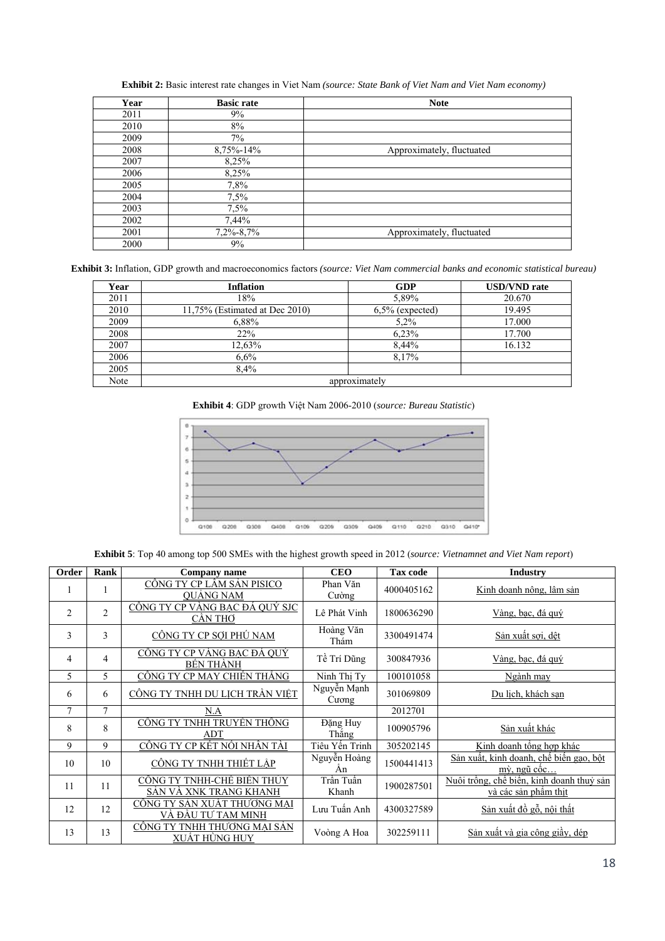| Year | <b>Basic rate</b> | <b>Note</b>               |
|------|-------------------|---------------------------|
| 2011 | 9%                |                           |
| 2010 | 8%                |                           |
| 2009 | $7\%$             |                           |
| 2008 | 8,75%-14%         | Approximately, fluctuated |
| 2007 | 8,25%             |                           |
| 2006 | 8,25%             |                           |
| 2005 | 7,8%              |                           |
| 2004 | 7,5%              |                           |
| 2003 | 7,5%              |                           |
| 2002 | 7,44%             |                           |
| 2001 | $7,2\% - 8,7\%$   | Approximately, fluctuated |
| 2000 | 9%                |                           |

Exhibit 2: Basic interest rate changes in Viet Nam (source: State Bank of Viet Nam and Viet Nam economy)

Exhibit 3: Inflation, GDP growth and macroeconomics factors (source: Viet Nam commercial banks and economic statistical bureau)

| Year | <b>Inflation</b>               | <b>GDP</b>         | <b>USD/VND</b> rate |  |
|------|--------------------------------|--------------------|---------------------|--|
| 2011 | 18%                            | 5,89%              | 20.670              |  |
| 2010 | 11,75% (Estimated at Dec 2010) | $6.5\%$ (expected) | 19.495              |  |
| 2009 | 6,88%                          | $5.2\%$            | 17.000              |  |
| 2008 | 22%                            | 6,23%              | 17.700              |  |
| 2007 | 12.63%                         | 8.44%              | 16.132              |  |
| 2006 | 6,6%                           | 8.17%              |                     |  |
| 2005 | $8.4\%$                        |                    |                     |  |
| Note | approximately                  |                    |                     |  |





Exhibit 5: Top 40 among top 500 SMEs with the highest growth speed in 2012 (source: Vietnamnet and Viet Nam report)

| Order          | Rank           | Company name                                         | <b>CEO</b>           | <b>Tax code</b> | <b>Industry</b>                                                   |
|----------------|----------------|------------------------------------------------------|----------------------|-----------------|-------------------------------------------------------------------|
|                |                | CÔNG TY CP LÂM SẢN PISICO<br><b>OUANG NAM</b>        | Phan Văn<br>Cường    | 4000405162      | Kinh doanh nông, lâm sản                                          |
| 2              | $\overline{2}$ | <u>CÔNG TY CP VÀNG BẠC ĐÁ QUÝ SJC</u><br>CÂN THƠ     | Lê Phát Vinh         | 1800636290      | Vàng, bạc, đá quý                                                 |
| 3              | 3              | CÔNG TY CP SỢI PHÚ NAM                               | Hoàng Văn<br>Thám    | 3300491474      | Sản xuất sợi, dệt                                                 |
| $\overline{4}$ | 4              | <u>CÔNG TY CP VÀNG BẠC ĐÁ QUÝ</u><br>BÊN THÀNH       | Tề Trí Dũng          | 300847936       | Vàng, bạc, đá quý                                                 |
| 5              | 5              | CÔNG TY CP MAY CHIẾN THẮNG                           | Ninh Thi Ty          | 100101058       | Ngành may                                                         |
| 6              | 6              | <u>CÔNG TY TNHH DU LỊCH TRẦN VIỆT</u>                | Nguyễn Mạnh<br>Cuong | 301069809       | Du lich, khách san                                                |
| $\overline{7}$ | $\overline{7}$ | N.A                                                  |                      | 2012701         |                                                                   |
| 8              | 8              | CÔNG TY TNHH TRUYỀN THỐNG<br>ADT                     | Đặng Huy<br>Thắng    | 100905796       | Sản xuất khác                                                     |
| 9              | 9              | CÔNG TY CP KẾT NỐI NHÂN TÀI                          | Tiêu Yến Trinh       | 305202145       | Kinh doanh tổng hợp khác                                          |
| 10             | 10             | CÔNG TY TNHH THIẾT LẬP                               | Nguyễn Hoàng<br>An   | 1500441413      | Sản xuất, kinh doanh, chế biến gao, bột<br>mỳ, ngũ côc            |
| 11             | 11             | CÔNG TY TNHH-CHẾ BIẾN THỦY<br>SÁN VÀ XNK TRANG KHANH | Trần Tuấn<br>Khanh   | 1900287501      | Nuôi trồng, chế biến, kinh doanh thuỷ sản<br>và các sản phẩm thịt |
| 12             | 12             | CÔNG TY SẢN XUẤT THƯƠNG MẠI<br>VÀ ĐẦU TƯ TAM MINH    | Lưu Tuấn Anh         | 4300327589      | Sản xuất đồ gỗ, nội thất                                          |
| 13             | 13             | CÔNG TY TNHH THƯƠNG MẠI SẢN<br>XUÂT HÙNG HUY         | Voòng A Hoa          | 302259111       | Sản xuất và gia công giầy, dép                                    |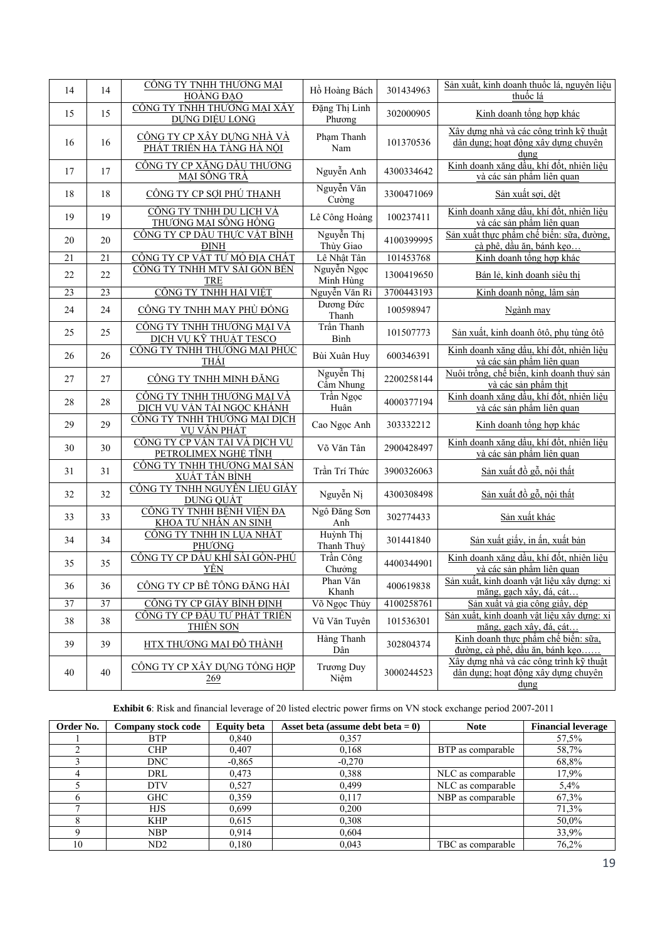| 14 | 14              | CÔNG TY TNHH THƯỜNG MẠI                                         | Hồ Hoàng Bách             | 301434963  | Sản xuất, kinh doanh thuốc lá, nguyên liệu                                             |
|----|-----------------|-----------------------------------------------------------------|---------------------------|------------|----------------------------------------------------------------------------------------|
|    |                 | HOÀNG ĐẠO                                                       |                           |            | thuốc lá                                                                               |
| 15 | 15              | CÔNG TY TNHH THƯƠNG MẠI XÂY<br><b>DUNG DIÊU LONG</b>            | Đặng Thị Linh<br>Phương   | 302000905  | Kinh doanh tổng hợp khác                                                               |
| 16 | 16              | <u>CÔNG TY CP XÂY DƯNG NHÀ VÀ</u><br>PHÁT TRIỂN HẠ TẦNG HÀ NỘI  | Phạm Thanh<br>Nam         | 101370536  | Xây dựng nhà và các công trình kỹ thuật<br>dân dụng; hoạt động xây dựng chuyên<br>dung |
| 17 | 17              | CÔNG TY CP XĂNG DÂU THƯƠNG<br>MẠI SÔNG TRÀ                      | Nguyễn Anh                | 4300334642 | Kinh doanh xăng dầu, khí đốt, nhiên liệu<br>và các sản phẩm liên quan                  |
| 18 | 18              | CÔNG TY CP SỢI PHÚ THẠNH                                        | Nguyễn Văn<br>Cường       | 3300471069 | Sản xuất sợi, dệt                                                                      |
| 19 | 19              | CÔNG TY TNHH DU LICH VÀ<br>THƯƠNG MẠI SÔNG HỒNG                 | Lê Công Hoàng             | 100237411  | Kinh doanh xăng dầu, khí đốt, nhiên liệu<br>và các sản phẩm liên quan                  |
| 20 | 20              | CÔNG TY CP DẦU THỰC VẬT BÌNH<br><b>DINH</b>                     | Nguyễn Thị<br>Thùy Giao   | 4100399995 | Sản xuất thực phẩm chế biến: sữa, đường,<br>cà phê, dầu ăn, bánh kẹo                   |
| 21 | 21              | CÔNG TY CP VẬT TƯ MỎ ĐỊA CHẤT                                   | Lê Nhật Tân               | 101453768  | Kinh doanh tổng hợp khác                                                               |
| 22 | 22              | CÔNG TY TNHH MTV SÀI GÒN BẾN<br><b>TRE</b>                      | Nguyễn Ngọc<br>Minh Hùng  | 1300419650 | Bán lẻ, kinh doanh siêu thị                                                            |
| 23 | $\overline{23}$ | CÔNG TY TNHH HẢI VIỆT                                           | Nguyễn Văn Rỉ             | 3700443193 | Kinh doanh nông, lâm sản                                                               |
| 24 | 24              | CÔNG TY TNHH MAY PHÙ ĐỒNG                                       | Dương Đức<br>Thanh        | 100598947  | Ngành may                                                                              |
| 25 | 25              | CÔNG TY TNHH THƯƠNG MẠI VÀ<br>DICH VU KÝ THUẬT TESCO            | Trần Thanh<br>Bình        | 101507773  | Sản xuất, kinh doanh ôtô, phụ tùng ôtô                                                 |
| 26 | 26              | CÔNG TY TNHH THƯƠNG MẠI PHÚC<br>THÁI                            | Bùi Xuân Huy              | 600346391  | Kinh doanh xăng dầu, khí đốt, nhiên liệu<br>và các sản phẩm liên quan                  |
| 27 | 27              | CÔNG TY TNHH MINH ĐĂNG                                          | Nguyễn Thị<br>Cẩm Nhung   | 2200258144 | Nuôi trồng, chế biến, kinh doanh thuỷ sản<br>và các sản phẩm thịt                      |
| 28 | 28              | CÔNG TY TNHH THƯƠNG MẠI VÀ<br><u>DỊCH VỤ VÂN TẢI NGỌC KHÁNH</u> | Trần Ngọc<br>Huân         | 4000377194 | Kinh doanh xăng dầu, khí đốt, nhiên liệu<br>và các sản phẩm liên quan                  |
| 29 | 29              | CÔNG TY TNHH THƯƠNG MẠI DỊCH<br>VU VÂN PHÁT                     | Cao Ngọc Anh              | 303332212  | Kinh doanh tổng hợp khác                                                               |
| 30 | 30              | CÔNG TY CP VÂN TẢI VÀ DỊCH VỤ<br>PETROLIMEX NGHỆ TĨNH           | Võ Văn Tân                | 2900428497 | Kinh doanh xăng dầu, khí đốt, nhiên liệu<br>và các sản phẩm liên quan                  |
| 31 | 31              | CÔNG TY TNHH THƯỜNG MẠI SẢN<br><u>XUẤT TÂN BÌNH</u>             | Trần Trí Thức             | 3900326063 | Sản xuất đồ gỗ, nội thất                                                               |
| 32 | 32              | CÔNG TY TNHH NGUYÊN LIỆU GIẤY<br><b>DUNG QUÂT</b>               | Nguyễn Nị                 | 4300308498 | Sản xuất đồ gỗ, nội thất                                                               |
| 33 | 33              | CÔNG TY TNHH BÊNH VIỆN ĐA<br>KHOA TƯ NHÂN AN SINH               | Ngô Đăng Sơn<br>Anh       | 302774433  | Sản xuất khác                                                                          |
| 34 | 34              | CÔNG TY TNHH IN LỤA NHẤT<br>PHUONG                              | Huỳnh Thị<br>Thanh Thuỷ   | 301441840  | Sản xuất giấy, in ấn, xuất bản                                                         |
| 35 | 35              | CÔNG TY CP DẦU KHÍ SÀI GÒN-PHÚ<br><u>YÊN</u>                    | Trần Công<br>Chưởng       | 4400344901 | Kinh doanh xăng dầu, khí đốt, nhiên liệu<br>và các sản phẩm liên quan                  |
| 36 | 36              | CÔNG TY CP BẾ TÔNG ĐĂNG HẢI                                     | Phan Văn<br>Khanh         | 400619838  | Sản xuất, kinh doanh vật liệu xây dựng: xi<br>măng, gạch xây, đá, cát                  |
| 37 | 37              | CÔNG TY CP GIÀY BÌNH ĐINH                                       | Võ Ngọc Thủy              | 4100258761 | Sản xuất và gia công giầy, dép                                                         |
| 38 | 38              | <u>CÔNG TY CP ĐẦU TƯ PHÁT TRIỀN</u><br>THIÊN SƠN                | Vũ Văn Tuyên              | 101536301  | Sản xuất, kinh doanh vật liệu xây dựng: xi<br>măng, gạch xây, đá, cát                  |
| 39 | 39              | HTX THƯỜNG MẠI ĐỘ THÀNH                                         | Hàng Thanh<br>Dân         | 302804374  | Kinh doanh thực phẩm chế biến: sữa,<br><u>đường, cà phê, dầu ăn, bánh kẹo.</u>         |
| 40 | 40              | CÔNG TY CP XÂY DUNG TỒNG HỢP<br>269                             | <b>Trương Duy</b><br>Niêm | 3000244523 | Xây dựng nhà và các công trình kỹ thuật<br>dân dung; hoạt động xây dựng chuyên<br>dung |

**Exhibit 6**: Risk and financial leverage of 20 listed electric power firms on VN stock exchange period 2007-2011

| Order No. | <b>Company stock code</b> | <b>Equity beta</b> | Asset beta (assume debt beta $= 0$ ) | <b>Note</b>       | <b>Financial leverage</b> |
|-----------|---------------------------|--------------------|--------------------------------------|-------------------|---------------------------|
|           | <b>BTP</b>                | 0.840              | 0,357                                |                   | 57,5%                     |
|           | <b>CHP</b>                | 0,407              | 0,168                                | BTP as comparable | 58,7%                     |
|           | <b>DNC</b>                | $-0.865$           | $-0,270$                             |                   | 68,8%                     |
|           | DRL                       | 0.473              | 0.388                                | NLC as comparable | 17.9%                     |
|           | <b>DTV</b>                | 0.527              | 0.499                                | NLC as comparable | 5.4%                      |
|           | <b>GHC</b>                | 0,359              | 0,117                                | NBP as comparable | 67,3%                     |
|           | <b>HJS</b>                | 0.699              | 0,200                                |                   | 71,3%                     |
|           | <b>KHP</b>                | 0.615              | 0,308                                |                   | 50,0%                     |
|           | <b>NBP</b>                | 0.914              | 0.604                                |                   | 33,9%                     |
| 10        | ND <sub>2</sub>           | 0.180              | 0.043                                | TBC as comparable | 76,2%                     |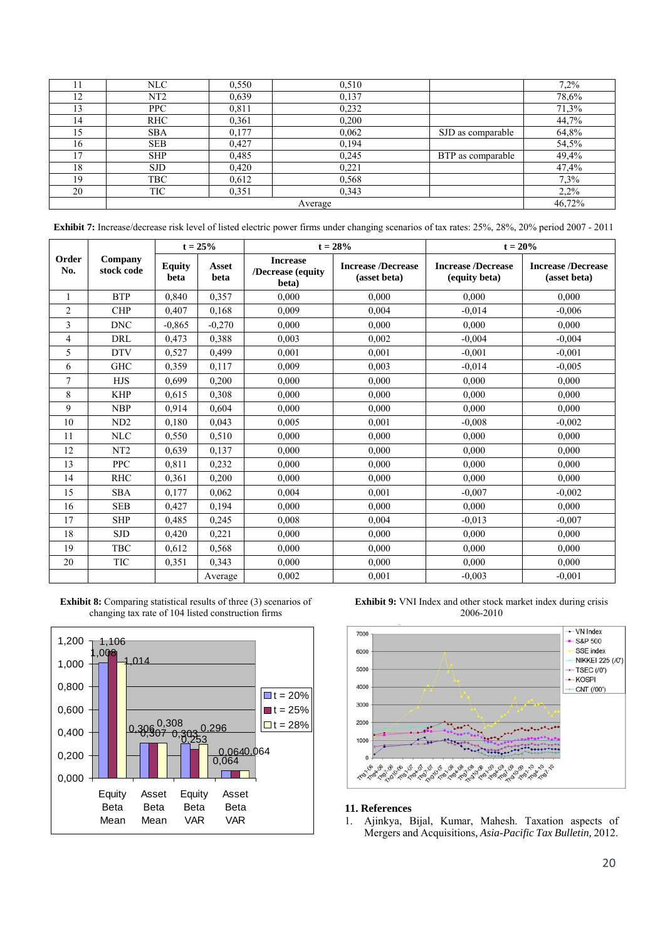|     | NLC             | 0,550 | 0.510 |                   | 7,2%  |  |
|-----|-----------------|-------|-------|-------------------|-------|--|
| 12  | NT <sub>2</sub> | 0,639 | 0,137 |                   | 78,6% |  |
|     | <b>PPC</b>      | 0,811 | 0,232 |                   | 71,3% |  |
| 14  | <b>RHC</b>      | 0,361 | 0,200 |                   | 44,7% |  |
| 15  | <b>SBA</b>      | 0,177 | 0,062 | SJD as comparable | 64,8% |  |
| 16  | <b>SEB</b>      | 0,427 | 0,194 |                   | 54,5% |  |
| ר ו | <b>SHP</b>      | 0,485 | 0,245 | BTP as comparable | 49,4% |  |
| 18  | <b>SJD</b>      | 0,420 | 0,221 |                   | 47,4% |  |
| 19  | <b>TBC</b>      | 0,612 | 0,568 |                   | 7,3%  |  |
| 20  | TIC             | 0,351 | 0,343 |                   | 2,2%  |  |
|     | Average         |       |       |                   |       |  |

**Exhibit 7:** Increase/decrease risk level of listed electric power firms under changing scenarios of tax rates: 25%, 28%, 20% period 2007 - 2011

|                |                       | $t = 25%$             |               |                                               | $t = 28%$                                 | $t = 20\%$                                 |                                           |
|----------------|-----------------------|-----------------------|---------------|-----------------------------------------------|-------------------------------------------|--------------------------------------------|-------------------------------------------|
| Order<br>No.   | Company<br>stock code | <b>Equity</b><br>beta | Asset<br>beta | <b>Increase</b><br>/Decrease (equity<br>beta) | <b>Increase /Decrease</b><br>(asset beta) | <b>Increase /Decrease</b><br>(equity beta) | <b>Increase /Decrease</b><br>(asset beta) |
| $\mathbf{1}$   | <b>BTP</b>            | 0,840                 | 0,357         | 0.000                                         | 0,000                                     | 0,000                                      | 0,000                                     |
| 2              | <b>CHP</b>            | 0,407                 | 0,168         | 0,009                                         | 0.004                                     | $-0.014$                                   | $-0.006$                                  |
| 3              | <b>DNC</b>            | $-0.865$              | $-0,270$      | 0.000                                         | 0.000                                     | 0.000                                      | 0.000                                     |
| $\overline{4}$ | DRL                   | 0,473                 | 0,388         | 0,003                                         | 0,002                                     | $-0.004$                                   | $-0.004$                                  |
| 5              | <b>DTV</b>            | 0,527                 | 0,499         | 0.001                                         | 0.001                                     | $-0.001$                                   | $-0.001$                                  |
| 6              | <b>GHC</b>            | 0,359                 | 0,117         | 0.009                                         | 0.003                                     | $-0.014$                                   | $-0.005$                                  |
| $\tau$         | <b>HJS</b>            | 0.699                 | 0,200         | 0.000                                         | 0.000                                     | 0.000                                      | 0.000                                     |
| 8              | <b>KHP</b>            | 0.615                 | 0,308         | 0.000                                         | 0.000                                     | 0.000                                      | 0,000                                     |
| 9              | <b>NBP</b>            | 0.914                 | 0,604         | 0,000                                         | 0,000                                     | 0,000                                      | 0,000                                     |
| 10             | ND <sub>2</sub>       | 0,180                 | 0,043         | 0,005                                         | 0,001                                     | $-0.008$                                   | $-0,002$                                  |
| 11             | <b>NLC</b>            | 0,550                 | 0,510         | 0.000                                         | 0.000                                     | 0.000                                      | 0,000                                     |
| 12             | NT <sub>2</sub>       | 0.639                 | 0,137         | 0.000                                         | 0.000                                     | 0.000                                      | 0.000                                     |
| 13             | <b>PPC</b>            | 0,811                 | 0,232         | 0.000                                         | 0.000                                     | 0.000                                      | 0.000                                     |
| 14             | <b>RHC</b>            | 0,361                 | 0,200         | 0.000                                         | 0.000                                     | 0.000                                      | 0.000                                     |
| 15             | <b>SBA</b>            | 0,177                 | 0,062         | 0,004                                         | 0,001                                     | $-0.007$                                   | $-0.002$                                  |
| 16             | <b>SEB</b>            | 0,427                 | 0,194         | 0.000                                         | 0.000                                     | 0.000                                      | 0.000                                     |
| 17             | <b>SHP</b>            | 0,485                 | 0,245         | 0,008                                         | 0,004                                     | $-0.013$                                   | $-0.007$                                  |
| 18             | <b>SJD</b>            | 0,420                 | 0,221         | 0.000                                         | 0.000                                     | 0.000                                      | 0.000                                     |
| 19             | <b>TBC</b>            | 0,612                 | 0,568         | 0,000                                         | 0.000                                     | 0.000                                      | 0.000                                     |
| 20             | TIC                   | 0,351                 | 0.343         | 0.000                                         | 0.000                                     | 0.000                                      | 0.000                                     |
|                |                       |                       | Average       | 0,002                                         | 0,001                                     | $-0,003$                                   | $-0,001$                                  |

**Exhibit 8:** Comparing statistical results of three (3) scenarios of changing tax rate of 104 listed construction firms



**Exhibit 9:** VNI Index and other stock market index during crisis 2006-2010



# **11. References**

1. Ajinkya, Bijal, Kumar, Mahesh. Taxation aspects of Mergers and Acquisitions*, Asia-Pacific Tax Bulletin,* 2012.